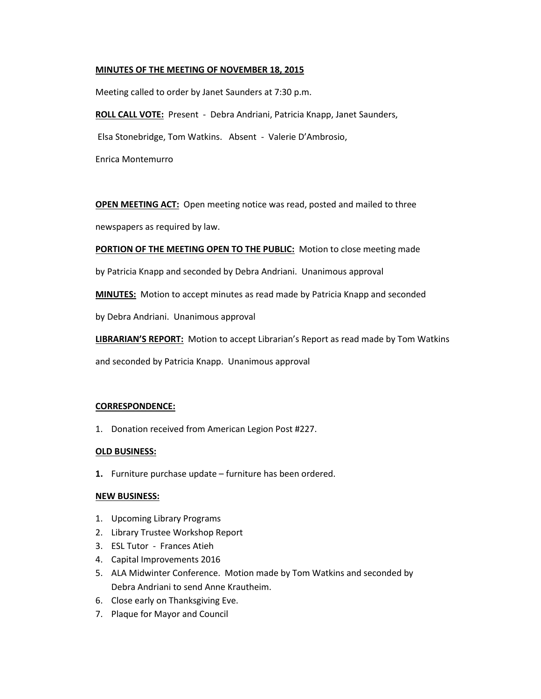# **MINUTES OF THE MEETING OF NOVEMBER 18, 2015**

Meeting called to order by Janet Saunders at 7:30 p.m.

**ROLL CALL VOTE:** Present - Debra Andriani, Patricia Knapp, Janet Saunders,

Elsa Stonebridge, Tom Watkins. Absent - Valerie D'Ambrosio,

Enrica Montemurro

**OPEN MEETING ACT:** Open meeting notice was read, posted and mailed to three

newspapers as required by law.

**PORTION OF THE MEETING OPEN TO THE PUBLIC:** Motion to close meeting made

by Patricia Knapp and seconded by Debra Andriani. Unanimous approval

**MINUTES:** Motion to accept minutes as read made by Patricia Knapp and seconded

by Debra Andriani. Unanimous approval

**LIBRARIAN'S REPORT:** Motion to accept Librarian's Report as read made by Tom Watkins

and seconded by Patricia Knapp. Unanimous approval

#### **CORRESPONDENCE:**

1. Donation received from American Legion Post #227.

#### **OLD BUSINESS:**

**1.** Furniture purchase update – furniture has been ordered.

#### **NEW BUSINESS:**

- 1. Upcoming Library Programs
- 2. Library Trustee Workshop Report
- 3. ESL Tutor Frances Atieh
- 4. Capital Improvements 2016
- 5. ALA Midwinter Conference. Motion made by Tom Watkins and seconded by Debra Andriani to send Anne Krautheim.
- 6. Close early on Thanksgiving Eve.
- 7. Plaque for Mayor and Council